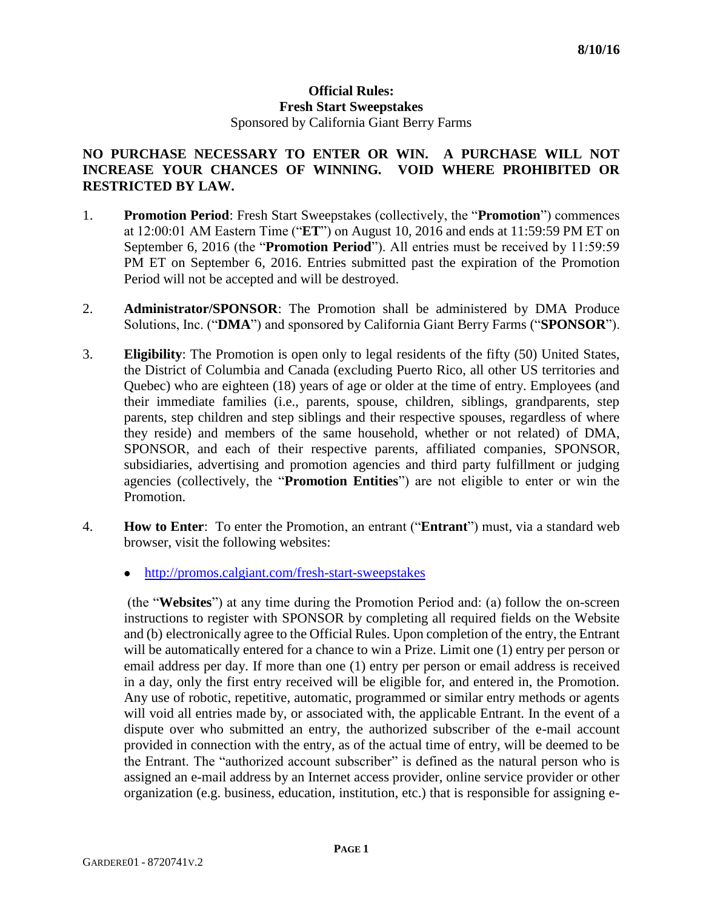## **Official Rules: Fresh Start Sweepstakes** Sponsored by California Giant Berry Farms

## **NO PURCHASE NECESSARY TO ENTER OR WIN. A PURCHASE WILL NOT INCREASE YOUR CHANCES OF WINNING. VOID WHERE PROHIBITED OR RESTRICTED BY LAW.**

- 1. **Promotion Period**: Fresh Start Sweepstakes (collectively, the "**Promotion**") commences at 12:00:01 AM Eastern Time ("**ET**") on August 10, 2016 and ends at 11:59:59 PM ET on September 6, 2016 (the "**Promotion Period**"). All entries must be received by 11:59:59 PM ET on September 6, 2016. Entries submitted past the expiration of the Promotion Period will not be accepted and will be destroyed.
- 2. **Administrator/SPONSOR**: The Promotion shall be administered by DMA Produce Solutions, Inc. ("**DMA**") and sponsored by California Giant Berry Farms ("**SPONSOR**").
- 3. **Eligibility**: The Promotion is open only to legal residents of the fifty (50) United States, the District of Columbia and Canada (excluding Puerto Rico, all other US territories and Quebec) who are eighteen (18) years of age or older at the time of entry. Employees (and their immediate families (i.e., parents, spouse, children, siblings, grandparents, step parents, step children and step siblings and their respective spouses, regardless of where they reside) and members of the same household, whether or not related) of DMA, SPONSOR, and each of their respective parents, affiliated companies, SPONSOR, subsidiaries, advertising and promotion agencies and third party fulfillment or judging agencies (collectively, the "**Promotion Entities**") are not eligible to enter or win the Promotion.
- 4. **How to Enter**: To enter the Promotion, an entrant ("**Entrant**") must, via a standard web browser, visit the following websites:
	- <http://promos.calgiant.com/fresh-start-sweepstakes>

(the "**Websites**") at any time during the Promotion Period and: (a) follow the on-screen instructions to register with SPONSOR by completing all required fields on the Website and (b) electronically agree to the Official Rules. Upon completion of the entry, the Entrant will be automatically entered for a chance to win a Prize. Limit one (1) entry per person or email address per day. If more than one (1) entry per person or email address is received in a day, only the first entry received will be eligible for, and entered in, the Promotion. Any use of robotic, repetitive, automatic, programmed or similar entry methods or agents will void all entries made by, or associated with, the applicable Entrant. In the event of a dispute over who submitted an entry, the authorized subscriber of the e-mail account provided in connection with the entry, as of the actual time of entry, will be deemed to be the Entrant. The "authorized account subscriber" is defined as the natural person who is assigned an e-mail address by an Internet access provider, online service provider or other organization (e.g. business, education, institution, etc.) that is responsible for assigning e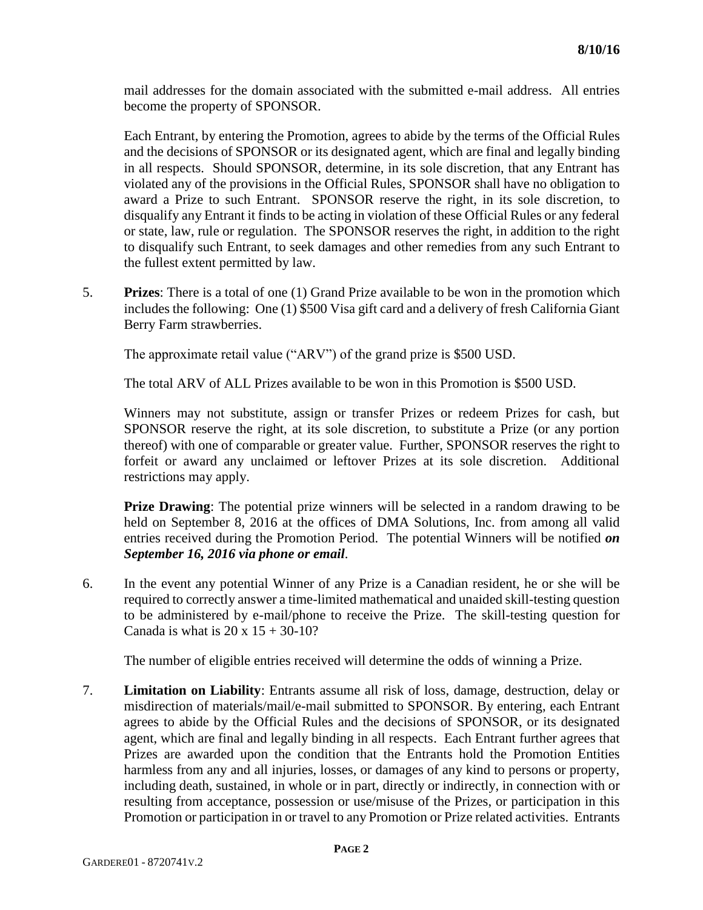mail addresses for the domain associated with the submitted e-mail address. All entries become the property of SPONSOR.

Each Entrant, by entering the Promotion, agrees to abide by the terms of the Official Rules and the decisions of SPONSOR or its designated agent, which are final and legally binding in all respects. Should SPONSOR, determine, in its sole discretion, that any Entrant has violated any of the provisions in the Official Rules, SPONSOR shall have no obligation to award a Prize to such Entrant. SPONSOR reserve the right, in its sole discretion, to disqualify any Entrant it finds to be acting in violation of these Official Rules or any federal or state, law, rule or regulation. The SPONSOR reserves the right, in addition to the right to disqualify such Entrant, to seek damages and other remedies from any such Entrant to the fullest extent permitted by law.

5. **Prizes**: There is a total of one (1) Grand Prize available to be won in the promotion which includes the following: One (1) \$500 Visa gift card and a delivery of fresh California Giant Berry Farm strawberries.

The approximate retail value ("ARV") of the grand prize is \$500 USD.

The total ARV of ALL Prizes available to be won in this Promotion is \$500 USD.

Winners may not substitute, assign or transfer Prizes or redeem Prizes for cash, but SPONSOR reserve the right, at its sole discretion, to substitute a Prize (or any portion thereof) with one of comparable or greater value. Further, SPONSOR reserves the right to forfeit or award any unclaimed or leftover Prizes at its sole discretion. Additional restrictions may apply.

**Prize Drawing**: The potential prize winners will be selected in a random drawing to be held on September 8, 2016 at the offices of DMA Solutions, Inc. from among all valid entries received during the Promotion Period. The potential Winners will be notified *on September 16, 2016 via phone or email*.

6. In the event any potential Winner of any Prize is a Canadian resident, he or she will be required to correctly answer a time-limited mathematical and unaided skill-testing question to be administered by e-mail/phone to receive the Prize. The skill-testing question for Canada is what is  $20 \times 15 + 30 - 10$ ?

The number of eligible entries received will determine the odds of winning a Prize.

7. **Limitation on Liability**: Entrants assume all risk of loss, damage, destruction, delay or misdirection of materials/mail/e-mail submitted to SPONSOR. By entering, each Entrant agrees to abide by the Official Rules and the decisions of SPONSOR, or its designated agent, which are final and legally binding in all respects. Each Entrant further agrees that Prizes are awarded upon the condition that the Entrants hold the Promotion Entities harmless from any and all injuries, losses, or damages of any kind to persons or property, including death, sustained, in whole or in part, directly or indirectly, in connection with or resulting from acceptance, possession or use/misuse of the Prizes, or participation in this Promotion or participation in or travel to any Promotion or Prize related activities. Entrants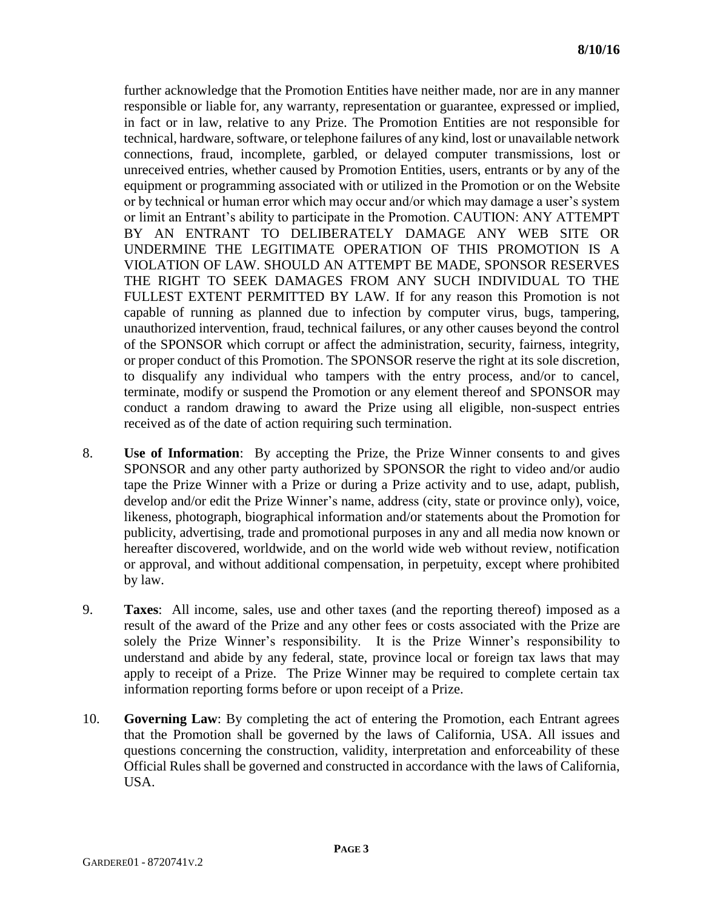further acknowledge that the Promotion Entities have neither made, nor are in any manner responsible or liable for, any warranty, representation or guarantee, expressed or implied, in fact or in law, relative to any Prize. The Promotion Entities are not responsible for technical, hardware, software, or telephone failures of any kind, lost or unavailable network connections, fraud, incomplete, garbled, or delayed computer transmissions, lost or unreceived entries, whether caused by Promotion Entities, users, entrants or by any of the equipment or programming associated with or utilized in the Promotion or on the Website or by technical or human error which may occur and/or which may damage a user's system or limit an Entrant's ability to participate in the Promotion. CAUTION: ANY ATTEMPT BY AN ENTRANT TO DELIBERATELY DAMAGE ANY WEB SITE OR UNDERMINE THE LEGITIMATE OPERATION OF THIS PROMOTION IS A VIOLATION OF LAW. SHOULD AN ATTEMPT BE MADE, SPONSOR RESERVES THE RIGHT TO SEEK DAMAGES FROM ANY SUCH INDIVIDUAL TO THE FULLEST EXTENT PERMITTED BY LAW. If for any reason this Promotion is not capable of running as planned due to infection by computer virus, bugs, tampering, unauthorized intervention, fraud, technical failures, or any other causes beyond the control of the SPONSOR which corrupt or affect the administration, security, fairness, integrity, or proper conduct of this Promotion. The SPONSOR reserve the right at its sole discretion, to disqualify any individual who tampers with the entry process, and/or to cancel, terminate, modify or suspend the Promotion or any element thereof and SPONSOR may conduct a random drawing to award the Prize using all eligible, non-suspect entries received as of the date of action requiring such termination.

- 8. **Use of Information**: By accepting the Prize, the Prize Winner consents to and gives SPONSOR and any other party authorized by SPONSOR the right to video and/or audio tape the Prize Winner with a Prize or during a Prize activity and to use, adapt, publish, develop and/or edit the Prize Winner's name, address (city, state or province only), voice, likeness, photograph, biographical information and/or statements about the Promotion for publicity, advertising, trade and promotional purposes in any and all media now known or hereafter discovered, worldwide, and on the world wide web without review, notification or approval, and without additional compensation, in perpetuity, except where prohibited by law.
- 9. **Taxes**: All income, sales, use and other taxes (and the reporting thereof) imposed as a result of the award of the Prize and any other fees or costs associated with the Prize are solely the Prize Winner's responsibility. It is the Prize Winner's responsibility to understand and abide by any federal, state, province local or foreign tax laws that may apply to receipt of a Prize. The Prize Winner may be required to complete certain tax information reporting forms before or upon receipt of a Prize.
- 10. **Governing Law**: By completing the act of entering the Promotion, each Entrant agrees that the Promotion shall be governed by the laws of California, USA. All issues and questions concerning the construction, validity, interpretation and enforceability of these Official Rules shall be governed and constructed in accordance with the laws of California, USA.